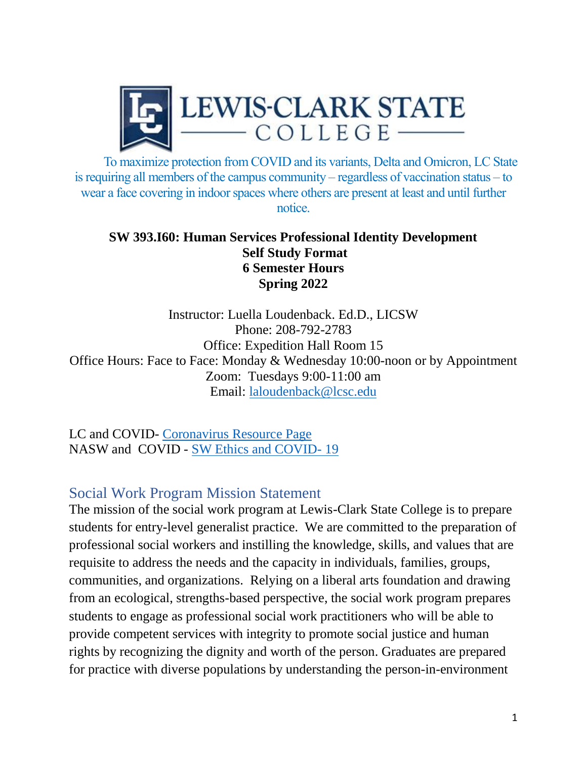

To maximize protection from COVID and its variants, Delta and Omicron, LC State is requiring all members of the campus community – regardless of vaccination status – to wear a face covering in indoor spaces where others are present at least and until further notice.

#### **SW 393.I60: Human Services Professional Identity Development Self Study Format 6 Semester Hours Spring 2022**

Instructor: Luella Loudenback. Ed.D., LICSW Phone: 208-792-2783 Office: Expedition Hall Room 15 Office Hours: Face to Face: Monday & Wednesday 10:00-noon or by Appointment Zoom: Tuesdays 9:00-11:00 am Email: [laloudenback@lcsc.edu](mailto:laloudenback@lcsc.edu)

LC and COVID- [Coronavirus Resource Page](https://www.lcsc.edu/coronavirus) NASW and COVID - [SW Ethics and COVID-](https://www.socialworkers.org/About/Ethics/Ethics-Education-and-Resources/COVID-19-Ethics-Resources) 19

# Social Work Program Mission Statement

The mission of the social work program at Lewis-Clark State College is to prepare students for entry-level generalist practice. We are committed to the preparation of professional social workers and instilling the knowledge, skills, and values that are requisite to address the needs and the capacity in individuals, families, groups, communities, and organizations. Relying on a liberal arts foundation and drawing from an ecological, strengths-based perspective, the social work program prepares students to engage as professional social work practitioners who will be able to provide competent services with integrity to promote social justice and human rights by recognizing the dignity and worth of the person. Graduates are prepared for practice with diverse populations by understanding the person-in-environment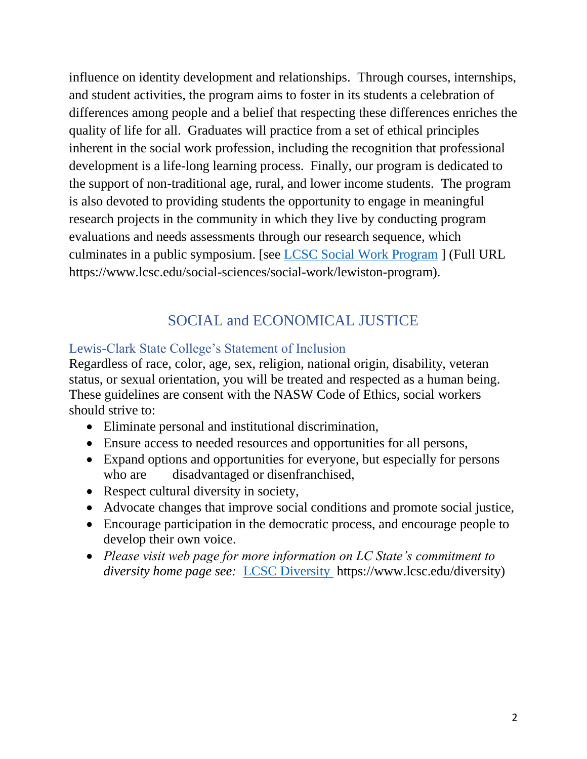influence on identity development and relationships. Through courses, internships, and student activities, the program aims to foster in its students a celebration of differences among people and a belief that respecting these differences enriches the quality of life for all. Graduates will practice from a set of ethical principles inherent in the social work profession, including the recognition that professional development is a life-long learning process. Finally, our program is dedicated to the support of non-traditional age, rural, and lower income students. The program is also devoted to providing students the opportunity to engage in meaningful research projects in the community in which they live by conducting program evaluations and needs assessments through our research sequence, which culminates in a public symposium. [see [LCSC Social Work Program](file:///C:/Users/laloudenback/Desktop/LCSC%20Social%20Work%20Program) ] (Full URL https://www.lcsc.edu/social-sciences/social-work/lewiston-program).

# SOCIAL and ECONOMICAL JUSTICE

# Lewis-Clark State College's Statement of Inclusion

Regardless of race, color, age, sex, religion, national origin, disability, veteran status, or sexual orientation, you will be treated and respected as a human being. These guidelines are consent with the NASW Code of Ethics, social workers should strive to:

- Eliminate personal and institutional discrimination,
- Ensure access to needed resources and opportunities for all persons,
- Expand options and opportunities for everyone, but especially for persons who are disadvantaged or disenfranchised,
- Respect cultural diversity in society,
- Advocate changes that improve social conditions and promote social justice,
- Encourage participation in the democratic process, and encourage people to develop their own voice.
- *Please visit web page for more information on LC State's commitment to diversity home page see:* [LCSC Diversity](https://www.lcsc.edu/diversity) https://www.lcsc.edu/diversity)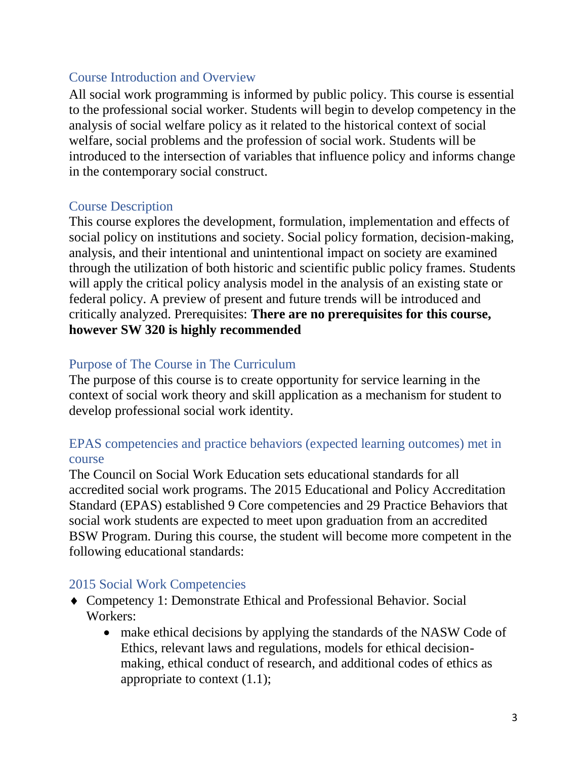#### Course Introduction and Overview

All social work programming is informed by public policy. This course is essential to the professional social worker. Students will begin to develop competency in the analysis of social welfare policy as it related to the historical context of social welfare, social problems and the profession of social work. Students will be introduced to the intersection of variables that influence policy and informs change in the contemporary social construct.

#### Course Description

This course explores the development, formulation, implementation and effects of social policy on institutions and society. Social policy formation, decision-making, analysis, and their intentional and unintentional impact on society are examined through the utilization of both historic and scientific public policy frames. Students will apply the critical policy analysis model in the analysis of an existing state or federal policy. A preview of present and future trends will be introduced and critically analyzed. Prerequisites: **There are no prerequisites for this course, however SW 320 is highly recommended**

# Purpose of The Course in The Curriculum

The purpose of this course is to create opportunity for service learning in the context of social work theory and skill application as a mechanism for student to develop professional social work identity.

## EPAS competencies and practice behaviors (expected learning outcomes) met in course

The Council on Social Work Education sets educational standards for all accredited social work programs. The 2015 Educational and Policy Accreditation Standard (EPAS) established 9 Core competencies and 29 Practice Behaviors that social work students are expected to meet upon graduation from an accredited BSW Program. During this course, the student will become more competent in the following educational standards:

## 2015 Social Work Competencies

- Competency 1: Demonstrate Ethical and Professional Behavior. Social Workers:
	- make ethical decisions by applying the standards of the NASW Code of Ethics, relevant laws and regulations, models for ethical decisionmaking, ethical conduct of research, and additional codes of ethics as appropriate to context (1.1);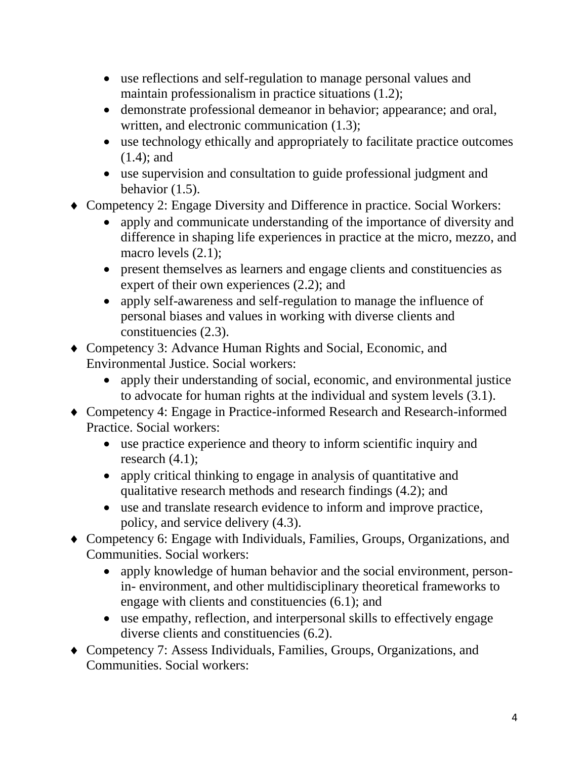- use reflections and self-regulation to manage personal values and maintain professionalism in practice situations (1.2);
- demonstrate professional demeanor in behavior; appearance; and oral, written, and electronic communication  $(1.3)$ ;
- use technology ethically and appropriately to facilitate practice outcomes (1.4); and
- use supervision and consultation to guide professional judgment and behavior (1.5).
- Competency 2: Engage Diversity and Difference in practice. Social Workers:
	- apply and communicate understanding of the importance of diversity and difference in shaping life experiences in practice at the micro, mezzo, and macro levels  $(2.1)$ ;
	- present themselves as learners and engage clients and constituencies as expert of their own experiences (2.2); and
	- apply self-awareness and self-regulation to manage the influence of personal biases and values in working with diverse clients and constituencies (2.3).
- Competency 3: Advance Human Rights and Social, Economic, and Environmental Justice. Social workers:
	- apply their understanding of social, economic, and environmental justice to advocate for human rights at the individual and system levels (3.1).
- Competency 4: Engage in Practice-informed Research and Research-informed Practice. Social workers:
	- use practice experience and theory to inform scientific inquiry and research (4.1);
	- apply critical thinking to engage in analysis of quantitative and qualitative research methods and research findings (4.2); and
	- use and translate research evidence to inform and improve practice, policy, and service delivery (4.3).
- Competency 6: Engage with Individuals, Families, Groups, Organizations, and Communities. Social workers:
	- apply knowledge of human behavior and the social environment, personin- environment, and other multidisciplinary theoretical frameworks to engage with clients and constituencies (6.1); and
	- use empathy, reflection, and interpersonal skills to effectively engage diverse clients and constituencies (6.2).
- Competency 7: Assess Individuals, Families, Groups, Organizations, and Communities. Social workers: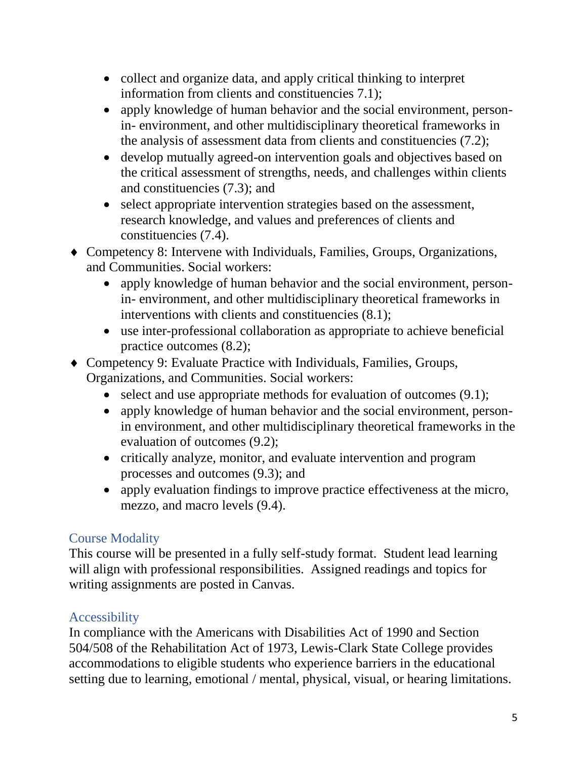- collect and organize data, and apply critical thinking to interpret information from clients and constituencies 7.1);
- apply knowledge of human behavior and the social environment, personin- environment, and other multidisciplinary theoretical frameworks in the analysis of assessment data from clients and constituencies (7.2);
- develop mutually agreed-on intervention goals and objectives based on the critical assessment of strengths, needs, and challenges within clients and constituencies (7.3); and
- select appropriate intervention strategies based on the assessment, research knowledge, and values and preferences of clients and constituencies (7.4).
- Competency 8: Intervene with Individuals, Families, Groups, Organizations, and Communities. Social workers:
	- apply knowledge of human behavior and the social environment, personin- environment, and other multidisciplinary theoretical frameworks in interventions with clients and constituencies (8.1);
	- use inter-professional collaboration as appropriate to achieve beneficial practice outcomes (8.2);
- Competency 9: Evaluate Practice with Individuals, Families, Groups, Organizations, and Communities. Social workers:
	- select and use appropriate methods for evaluation of outcomes  $(9.1)$ ;
	- apply knowledge of human behavior and the social environment, personin environment, and other multidisciplinary theoretical frameworks in the evaluation of outcomes (9.2);
	- critically analyze, monitor, and evaluate intervention and program processes and outcomes (9.3); and
	- apply evaluation findings to improve practice effectiveness at the micro, mezzo, and macro levels (9.4).

# Course Modality

This course will be presented in a fully self-study format. Student lead learning will align with professional responsibilities. Assigned readings and topics for writing assignments are posted in Canvas.

# Accessibility

In compliance with the Americans with Disabilities Act of 1990 and Section 504/508 of the Rehabilitation Act of 1973, Lewis-Clark State College provides accommodations to eligible students who experience barriers in the educational setting due to learning, emotional / mental, physical, visual, or hearing limitations.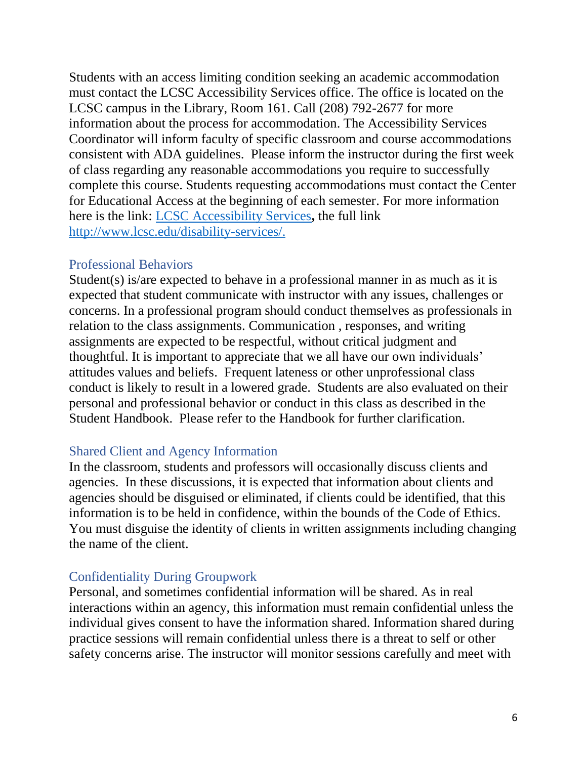Students with an access limiting condition seeking an academic accommodation must contact the LCSC Accessibility Services office. The office is located on the LCSC campus in the Library, Room 161. Call (208) 792-2677 for more information about the process for accommodation. The Accessibility Services Coordinator will inform faculty of specific classroom and course accommodations consistent with ADA guidelines. Please inform the instructor during the first week of class regarding any reasonable accommodations you require to successfully complete this course. Students requesting accommodations must contact the Center for Educational Access at the beginning of each semester. For more information here is the link: [LCSC Accessibility Services](http://www.lcsc.edu/disability-services/)**,** the full link [http://www.lcsc.edu/disability-services/.](http://www.lcsc.edu/disability-services/)

#### Professional Behaviors

Student(s) is/are expected to behave in a professional manner in as much as it is expected that student communicate with instructor with any issues, challenges or concerns. In a professional program should conduct themselves as professionals in relation to the class assignments. Communication , responses, and writing assignments are expected to be respectful, without critical judgment and thoughtful. It is important to appreciate that we all have our own individuals' attitudes values and beliefs. Frequent lateness or other unprofessional class conduct is likely to result in a lowered grade. Students are also evaluated on their personal and professional behavior or conduct in this class as described in the Student Handbook. Please refer to the Handbook for further clarification.

#### Shared Client and Agency Information

In the classroom, students and professors will occasionally discuss clients and agencies. In these discussions, it is expected that information about clients and agencies should be disguised or eliminated, if clients could be identified, that this information is to be held in confidence, within the bounds of the Code of Ethics. You must disguise the identity of clients in written assignments including changing the name of the client.

## Confidentiality During Groupwork

Personal, and sometimes confidential information will be shared. As in real interactions within an agency, this information must remain confidential unless the individual gives consent to have the information shared. Information shared during practice sessions will remain confidential unless there is a threat to self or other safety concerns arise. The instructor will monitor sessions carefully and meet with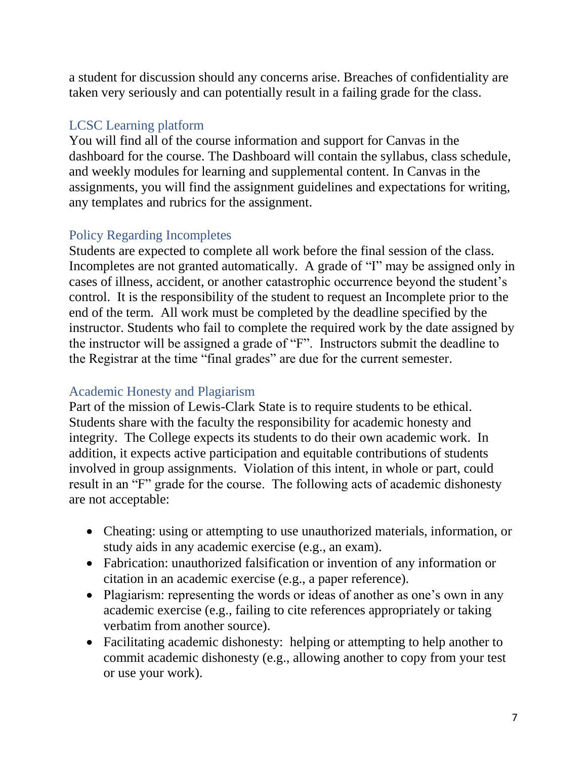a student for discussion should any concerns arise. Breaches of confidentiality are taken very seriously and can potentially result in a failing grade for the class.

# LCSC Learning platform

You will find all of the course information and support for Canvas in the dashboard for the course. The Dashboard will contain the syllabus, class schedule, and weekly modules for learning and supplemental content. In Canvas in the assignments, you will find the assignment guidelines and expectations for writing, any templates and rubrics for the assignment.

# Policy Regarding Incompletes

Students are expected to complete all work before the final session of the class. Incompletes are not granted automatically. A grade of "I" may be assigned only in cases of illness, accident, or another catastrophic occurrence beyond the student's control. It is the responsibility of the student to request an Incomplete prior to the end of the term. All work must be completed by the deadline specified by the instructor. Students who fail to complete the required work by the date assigned by the instructor will be assigned a grade of "F". Instructors submit the deadline to the Registrar at the time "final grades" are due for the current semester.

# Academic Honesty and Plagiarism

Part of the mission of Lewis-Clark State is to require students to be ethical. Students share with the faculty the responsibility for academic honesty and integrity. The College expects its students to do their own academic work. In addition, it expects active participation and equitable contributions of students involved in group assignments. Violation of this intent, in whole or part, could result in an "F" grade for the course. The following acts of academic dishonesty are not acceptable:

- Cheating: using or attempting to use unauthorized materials, information, or study aids in any academic exercise (e.g., an exam).
- Fabrication: unauthorized falsification or invention of any information or citation in an academic exercise (e.g., a paper reference).
- Plagiarism: representing the words or ideas of another as one's own in any academic exercise (e.g., failing to cite references appropriately or taking verbatim from another source).
- Facilitating academic dishonesty: helping or attempting to help another to commit academic dishonesty (e.g., allowing another to copy from your test or use your work).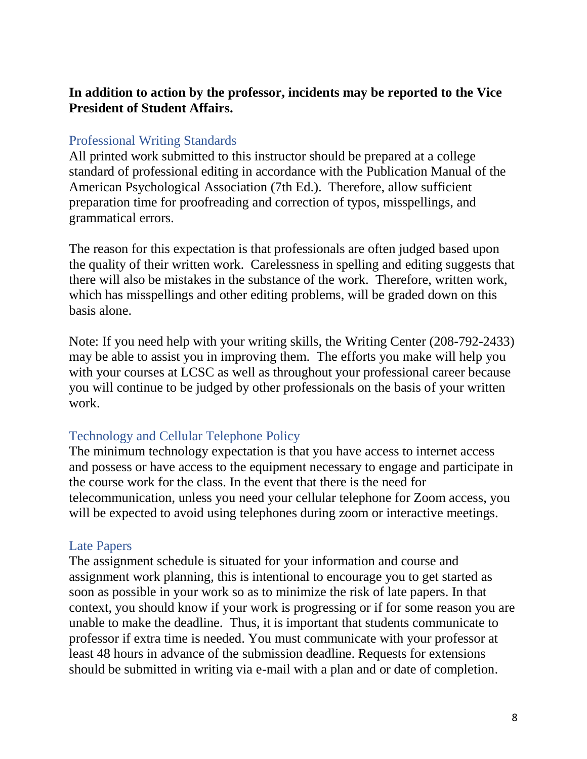#### **In addition to action by the professor, incidents may be reported to the Vice President of Student Affairs.**

#### Professional Writing Standards

All printed work submitted to this instructor should be prepared at a college standard of professional editing in accordance with the Publication Manual of the American Psychological Association (7th Ed.). Therefore, allow sufficient preparation time for proofreading and correction of typos, misspellings, and grammatical errors.

The reason for this expectation is that professionals are often judged based upon the quality of their written work. Carelessness in spelling and editing suggests that there will also be mistakes in the substance of the work. Therefore, written work, which has misspellings and other editing problems, will be graded down on this basis alone.

Note: If you need help with your writing skills, the Writing Center (208-792-2433) may be able to assist you in improving them. The efforts you make will help you with your courses at LCSC as well as throughout your professional career because you will continue to be judged by other professionals on the basis of your written work.

#### Technology and Cellular Telephone Policy

The minimum technology expectation is that you have access to internet access and possess or have access to the equipment necessary to engage and participate in the course work for the class. In the event that there is the need for telecommunication, unless you need your cellular telephone for Zoom access, you will be expected to avoid using telephones during zoom or interactive meetings.

#### Late Papers

The assignment schedule is situated for your information and course and assignment work planning, this is intentional to encourage you to get started as soon as possible in your work so as to minimize the risk of late papers. In that context, you should know if your work is progressing or if for some reason you are unable to make the deadline. Thus, it is important that students communicate to professor if extra time is needed. You must communicate with your professor at least 48 hours in advance of the submission deadline. Requests for extensions should be submitted in writing via e-mail with a plan and or date of completion.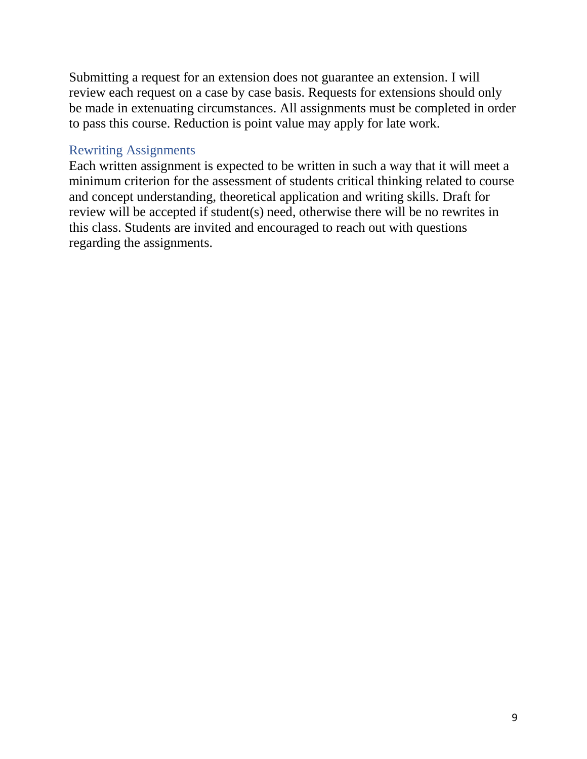Submitting a request for an extension does not guarantee an extension. I will review each request on a case by case basis. Requests for extensions should only be made in extenuating circumstances. All assignments must be completed in order to pass this course. Reduction is point value may apply for late work.

#### Rewriting Assignments

Each written assignment is expected to be written in such a way that it will meet a minimum criterion for the assessment of students critical thinking related to course and concept understanding, theoretical application and writing skills. Draft for review will be accepted if student(s) need, otherwise there will be no rewrites in this class. Students are invited and encouraged to reach out with questions regarding the assignments.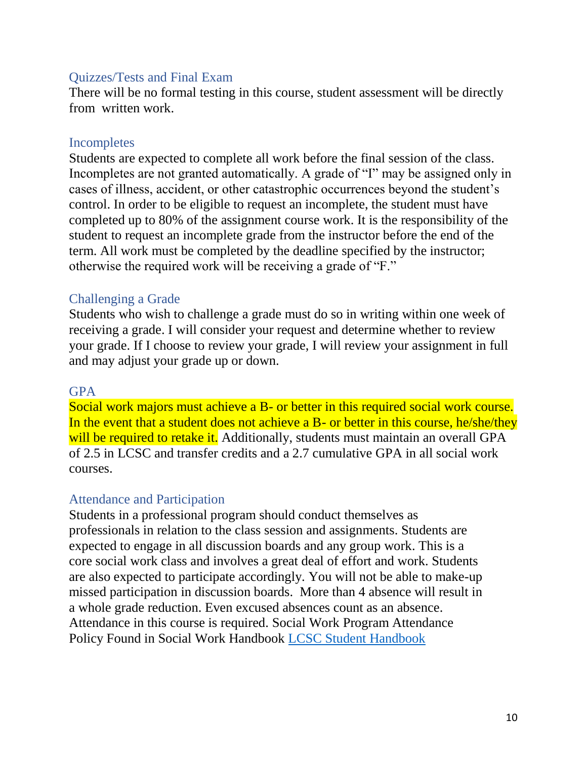#### Quizzes/Tests and Final Exam

There will be no formal testing in this course, student assessment will be directly from written work.

#### Incompletes

Students are expected to complete all work before the final session of the class. Incompletes are not granted automatically. A grade of "I" may be assigned only in cases of illness, accident, or other catastrophic occurrences beyond the student's control. In order to be eligible to request an incomplete, the student must have completed up to 80% of the assignment course work. It is the responsibility of the student to request an incomplete grade from the instructor before the end of the term. All work must be completed by the deadline specified by the instructor; otherwise the required work will be receiving a grade of "F."

#### Challenging a Grade

Students who wish to challenge a grade must do so in writing within one week of receiving a grade. I will consider your request and determine whether to review your grade. If I choose to review your grade, I will review your assignment in full and may adjust your grade up or down.

#### **GPA**

Social work majors must achieve a B- or better in this required social work course. In the event that a student does not achieve a B- or better in this course, he/she/they will be required to retake it. Additionally, students must maintain an overall GPA of 2.5 in LCSC and transfer credits and a 2.7 cumulative GPA in all social work courses.

#### Attendance and Participation

Students in a professional program should conduct themselves as professionals in relation to the class session and assignments. Students are expected to engage in all discussion boards and any group work. This is a core social work class and involves a great deal of effort and work. Students are also expected to participate accordingly. You will not be able to make-up missed participation in discussion boards. More than 4 absence will result in a whole grade reduction. Even excused absences count as an absence. Attendance in this course is required. Social Work Program Attendance Policy Found in Social Work Handbook [LCSC Student Handbook](file:///C:/Users/laloudenback/Desktop/LCSC%20Student%20Handbook)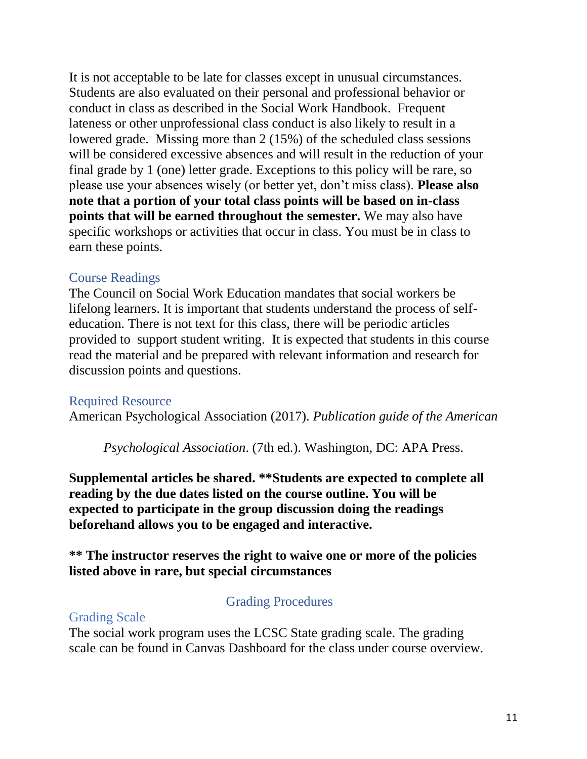It is not acceptable to be late for classes except in unusual circumstances. Students are also evaluated on their personal and professional behavior or conduct in class as described in the Social Work Handbook. Frequent lateness or other unprofessional class conduct is also likely to result in a lowered grade. Missing more than 2 (15%) of the scheduled class sessions will be considered excessive absences and will result in the reduction of your final grade by 1 (one) letter grade. Exceptions to this policy will be rare, so please use your absences wisely (or better yet, don't miss class). **Please also note that a portion of your total class points will be based on in-class points that will be earned throughout the semester.** We may also have specific workshops or activities that occur in class. You must be in class to earn these points.

#### Course Readings

The Council on Social Work Education mandates that social workers be lifelong learners. It is important that students understand the process of selfeducation. There is not text for this class, there will be periodic articles provided to support student writing. It is expected that students in this course read the material and be prepared with relevant information and research for discussion points and questions.

## Required Resource

American Psychological Association (2017). *Publication guide of the American* 

*Psychological Association*. (7th ed.). Washington, DC: APA Press.

**Supplemental articles be shared. \*\*Students are expected to complete all reading by the due dates listed on the course outline. You will be expected to participate in the group discussion doing the readings beforehand allows you to be engaged and interactive.** 

#### **\*\* The instructor reserves the right to waive one or more of the policies listed above in rare, but special circumstances**

## Grading Procedures

#### Grading Scale

The social work program uses the LCSC State grading scale. The grading scale can be found in Canvas Dashboard for the class under course overview.